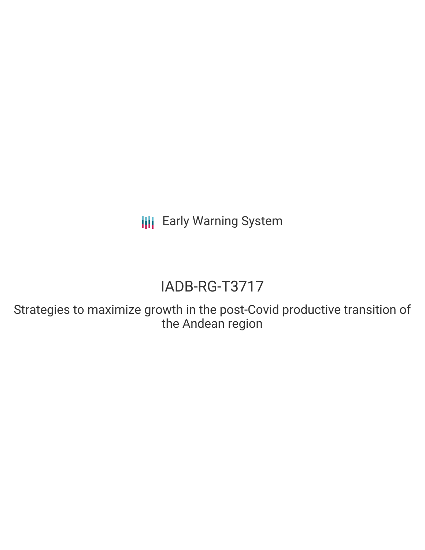**III** Early Warning System

# IADB-RG-T3717

Strategies to maximize growth in the post-Covid productive transition of the Andean region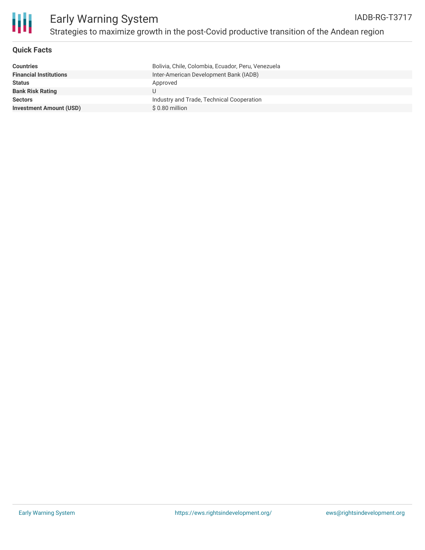

# Early Warning System Strategies to maximize growth in the post-Covid productive transition of the Andean region

# **Quick Facts**

| <b>Countries</b>               | Bolivia, Chile, Colombia, Ecuador, Peru, Venezuela |
|--------------------------------|----------------------------------------------------|
| <b>Financial Institutions</b>  | Inter-American Development Bank (IADB)             |
| <b>Status</b>                  | Approved                                           |
| <b>Bank Risk Rating</b>        |                                                    |
| <b>Sectors</b>                 | Industry and Trade, Technical Cooperation          |
| <b>Investment Amount (USD)</b> | $$0.80$ million                                    |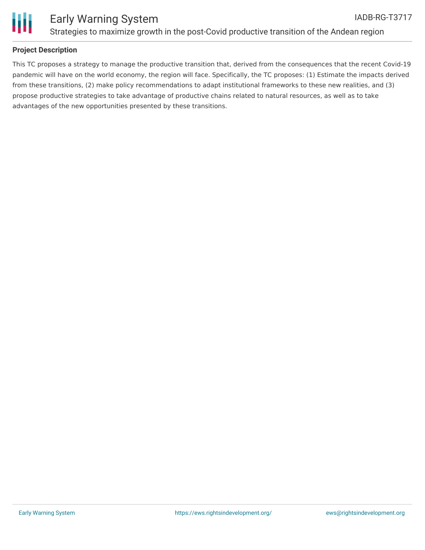

# **Project Description**

This TC proposes a strategy to manage the productive transition that, derived from the consequences that the recent Covid-19 pandemic will have on the world economy, the region will face. Specifically, the TC proposes: (1) Estimate the impacts derived from these transitions, (2) make policy recommendations to adapt institutional frameworks to these new realities, and (3) propose productive strategies to take advantage of productive chains related to natural resources, as well as to take advantages of the new opportunities presented by these transitions.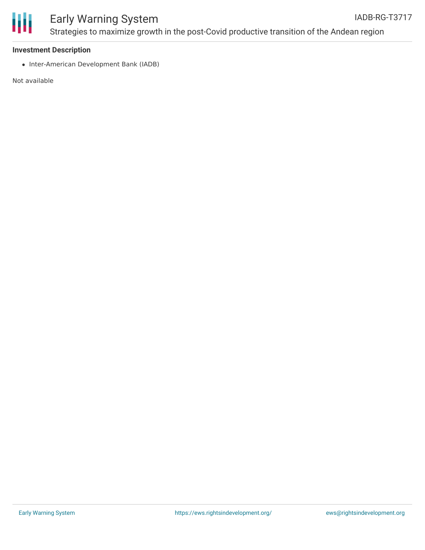

#### Early Warning System Strategies to maximize growth in the post-Covid productive transition of the Andean region IADB-RG-T3717

### **Investment Description**

• Inter-American Development Bank (IADB)

Not available